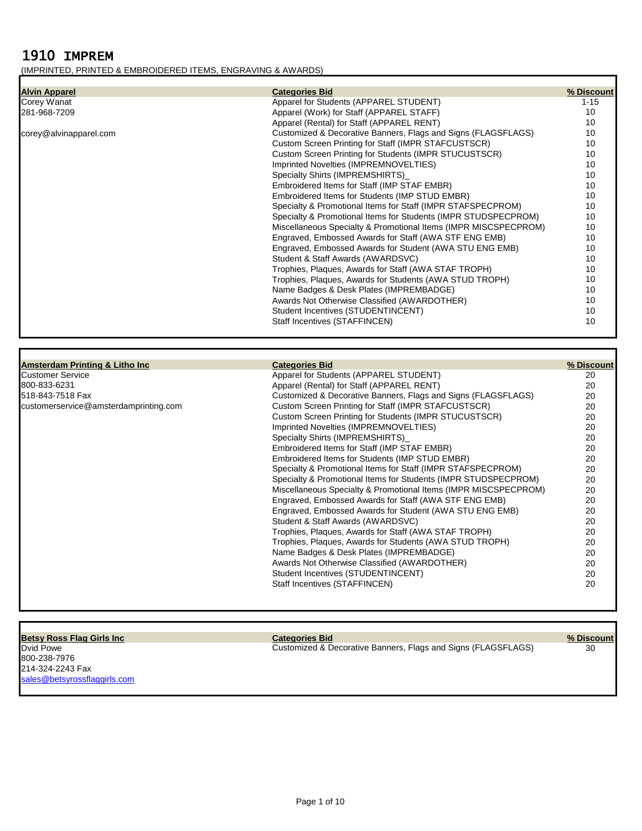# 1910 IMPREM

## (IMPRINTED, PRINTED & EMBROIDERED ITEMS, ENGRAVING & AWARDS)

| <b>Alvin Apparel</b>   | <b>Categories Bid</b>                                           | % Discount |
|------------------------|-----------------------------------------------------------------|------------|
| Corey Wanat            | Apparel for Students (APPAREL STUDENT)                          | $1 - 15$   |
| 281-968-7209           | Apparel (Work) for Staff (APPAREL STAFF)                        | 10         |
|                        | Apparel (Rental) for Staff (APPAREL RENT)                       | 10         |
| corey@alvinapparel.com | Customized & Decorative Banners, Flags and Signs (FLAGSFLAGS)   | 10         |
|                        | Custom Screen Printing for Staff (IMPR STAFCUSTSCR)             | 10         |
|                        | Custom Screen Printing for Students (IMPR STUCUSTSCR)           | 10         |
|                        | Imprinted Novelties (IMPREMNOVELTIES)                           | 10         |
|                        | Specialty Shirts (IMPREMSHIRTS)                                 | 10         |
|                        | Embroidered Items for Staff (IMP STAF EMBR)                     | 10         |
|                        | Embroidered Items for Students (IMP STUD EMBR)                  | 10         |
|                        | Specialty & Promotional Items for Staff (IMPR STAFSPECPROM)     | 10         |
|                        | Specialty & Promotional Items for Students (IMPR STUDSPECPROM)  | 10         |
|                        | Miscellaneous Specialty & Promotional Items (IMPR MISCSPECPROM) | 10         |
|                        | Engraved, Embossed Awards for Staff (AWA STF ENG EMB)           | 10         |
|                        | Engraved, Embossed Awards for Student (AWA STU ENG EMB)         | 10         |
|                        | Student & Staff Awards (AWARDSVC)                               | 10         |
|                        | Trophies, Plaques, Awards for Staff (AWA STAF TROPH)            | 10         |
|                        | Trophies, Plaques, Awards for Students (AWA STUD TROPH)         | 10         |
|                        | Name Badges & Desk Plates (IMPREMBADGE)                         | 10         |
|                        | Awards Not Otherwise Classified (AWARDOTHER)                    | 10         |
|                        | Student Incentives (STUDENTINCENT)                              | 10         |
|                        | Staff Incentives (STAFFINCEN)                                   | 10         |
|                        |                                                                 |            |

| <b>Amsterdam Printing &amp; Litho Inc.</b> | <b>Categories Bid</b>                                           | % Discount |
|--------------------------------------------|-----------------------------------------------------------------|------------|
| <b>Customer Service</b>                    | Apparel for Students (APPAREL STUDENT)                          | 20         |
| 800-833-6231                               | Apparel (Rental) for Staff (APPAREL RENT)                       | 20         |
| 518-843-7518 Fax                           | Customized & Decorative Banners, Flags and Signs (FLAGSFLAGS)   | 20         |
| customerservice@amsterdamprinting.com      | Custom Screen Printing for Staff (IMPR STAFCUSTSCR)             | 20         |
|                                            | Custom Screen Printing for Students (IMPR STUCUSTSCR)           | 20         |
|                                            | Imprinted Novelties (IMPREMNOVELTIES)                           | 20         |
|                                            | Specialty Shirts (IMPREMSHIRTS)                                 | 20         |
|                                            | Embroidered Items for Staff (IMP STAF EMBR)                     | 20         |
|                                            | Embroidered Items for Students (IMP STUD EMBR)                  | 20         |
|                                            | Specialty & Promotional Items for Staff (IMPR STAFSPECPROM)     | 20         |
|                                            | Specialty & Promotional Items for Students (IMPR STUDSPECPROM)  | 20         |
|                                            | Miscellaneous Specialty & Promotional Items (IMPR MISCSPECPROM) | 20         |
|                                            | Engraved, Embossed Awards for Staff (AWA STF ENG EMB)           | 20         |
|                                            | Engraved, Embossed Awards for Student (AWA STU ENG EMB)         | 20         |
|                                            | Student & Staff Awards (AWARDSVC)                               | 20         |
|                                            | Trophies, Plaques, Awards for Staff (AWA STAF TROPH)            | 20         |
|                                            | Trophies, Plaques, Awards for Students (AWA STUD TROPH)         | 20         |
|                                            | Name Badges & Desk Plates (IMPREMBADGE)                         | 20         |
|                                            | Awards Not Otherwise Classified (AWARDOTHER)                    | 20         |
|                                            | Student Incentives (STUDENTINCENT)                              | 20         |
|                                            | Staff Incentives (STAFFINCEN)                                   | 20         |
|                                            |                                                                 |            |
|                                            |                                                                 |            |

800-238-7976 214-324-2243 Fax [sales@betsyrossflaggirls.com](mailto:sales@betsyrossflaggirls.com)

**Betsy Ross Flag Girls Inc Categories Bid % Discount**

Dvid Powe Customized & Decorative Banners, Flags and Signs (FLAGSFLAGS) 30

Page 1 of 10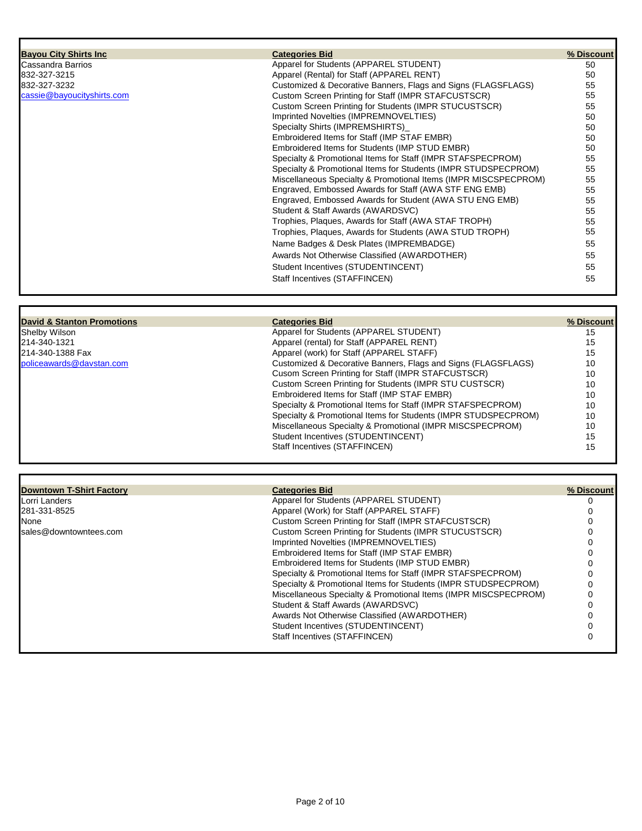| <b>Bayou City Shirts Inc</b> | <b>Categories Bid</b>                                           | % Discount |
|------------------------------|-----------------------------------------------------------------|------------|
| Cassandra Barrios            | Apparel for Students (APPAREL STUDENT)                          | 50         |
| 832-327-3215                 | Apparel (Rental) for Staff (APPAREL RENT)                       | 50         |
| 832-327-3232                 | Customized & Decorative Banners, Flags and Signs (FLAGSFLAGS)   | 55         |
| cassie@bayoucityshirts.com   | Custom Screen Printing for Staff (IMPR STAFCUSTSCR)             | 55         |
|                              | Custom Screen Printing for Students (IMPR STUCUSTSCR)           | 55         |
|                              | Imprinted Novelties (IMPREMNOVELTIES)                           | 50         |
|                              | Specialty Shirts (IMPREMSHIRTS)                                 | 50         |
|                              | Embroidered Items for Staff (IMP STAF EMBR)                     | 50         |
|                              | Embroidered Items for Students (IMP STUD EMBR)                  | 50         |
|                              | Specialty & Promotional Items for Staff (IMPR STAFSPECPROM)     | 55         |
|                              | Specialty & Promotional Items for Students (IMPR STUDSPECPROM)  | 55         |
|                              | Miscellaneous Specialty & Promotional Items (IMPR MISCSPECPROM) | 55         |
|                              | Engraved, Embossed Awards for Staff (AWA STF ENG EMB)           | 55         |
|                              | Engraved, Embossed Awards for Student (AWA STU ENG EMB)         | 55         |
|                              | Student & Staff Awards (AWARDSVC)                               | 55         |
|                              | Trophies, Plaques, Awards for Staff (AWA STAF TROPH)            | 55         |
|                              | Trophies, Plaques, Awards for Students (AWA STUD TROPH)         | 55         |
|                              | Name Badges & Desk Plates (IMPREMBADGE)                         | 55         |
|                              | Awards Not Otherwise Classified (AWARDOTHER)                    | 55         |
|                              | Student Incentives (STUDENTINCENT)                              | 55         |
|                              | Staff Incentives (STAFFINCEN)                                   | 55         |

| <b>Shelby Wilson</b>     |
|--------------------------|
| 214-340-1321             |
| 214-340-1388 Fax         |
| policeawards@daystan.cor |

| David & Stanton Promotions | <b>Categories Bid</b>                                          | % Discount |
|----------------------------|----------------------------------------------------------------|------------|
| <b>Shelby Wilson</b>       | Apparel for Students (APPAREL STUDENT)                         | 15         |
| 214-340-1321               | Apparel (rental) for Staff (APPAREL RENT)                      | 15         |
| 214-340-1388 Fax           | Apparel (work) for Staff (APPAREL STAFF)                       | 15         |
| policeawards@davstan.com   | Customized & Decorative Banners, Flags and Signs (FLAGSFLAGS)  | 10         |
|                            | Cusom Screen Printing for Staff (IMPR STAFCUSTSCR)             | 10         |
|                            | Custom Screen Printing for Students (IMPR STU CUSTSCR)         | 10         |
|                            | Embroidered Items for Staff (IMP STAF EMBR)                    | 10         |
|                            | Specialty & Promotional Items for Staff (IMPR STAFSPECPROM)    | 10         |
|                            | Specialty & Promotional Items for Students (IMPR STUDSPECPROM) | 10         |
|                            | Miscellaneous Specialty & Promotional (IMPR MISCSPECPROM)      | 10         |
|                            | Student Incentives (STUDENTINCENT)                             | 15         |
|                            | Staff Incentives (STAFFINCEN)                                  | 15         |

## **Downtown T-Shirt Factory Categories Bid % Discount** Lorri Landers **Apparel for Students (APPAREL STUDENT**) 0 281-331-8525 Apparel (Work) for Staff (APPAREL STAFF) 0 None Custom Screen Printing for Staff (IMPR STAFCUSTSCR)<br>Sales@downtowntees.com **Custom Screen Printing for Students (IMPR STUCUSTSC** [sales@downtowntees.com](mailto:nancy.garcia@gandyink.com) Custom Screen Printing for Students (IMPR STUCUSTSCR) 0 Imprinted Novelties (IMPREMNOVELTIES) 0 Embroidered Items for Staff (IMP STAF EMBR) 0

| Embroidered Items for Students (IMP STUD EMBR)                  |   |
|-----------------------------------------------------------------|---|
| Specialty & Promotional Items for Staff (IMPR STAFSPECPROM)     |   |
| Specialty & Promotional Items for Students (IMPR STUDSPECPROM)  | 0 |
| Miscellaneous Specialty & Promotional Items (IMPR MISCSPECPROM) | 0 |
| Student & Staff Awards (AWARDSVC)                               |   |
| Awards Not Otherwise Classified (AWARDOTHER)                    |   |
| Student Incentives (STUDENTINCENT)                              |   |
| Staff Incentives (STAFFINCEN)                                   |   |
|                                                                 |   |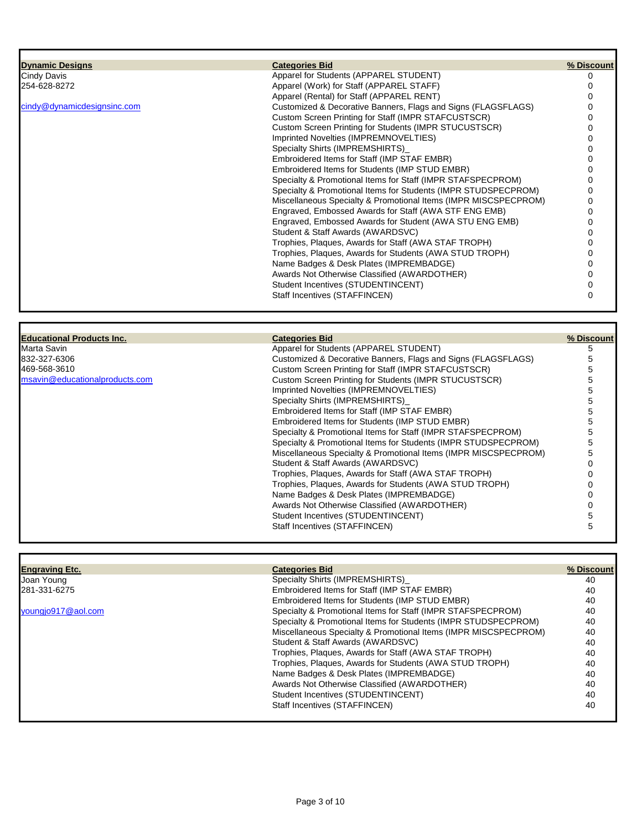| <b>Dynamic Designs</b>      | <b>Categories Bid</b>                                           | % Discount |
|-----------------------------|-----------------------------------------------------------------|------------|
| Cindy Davis                 | Apparel for Students (APPAREL STUDENT)                          |            |
| 254-628-8272                | Apparel (Work) for Staff (APPAREL STAFF)                        |            |
|                             | Apparel (Rental) for Staff (APPAREL RENT)                       |            |
| cindy@dynamicdesignsinc.com | Customized & Decorative Banners, Flags and Signs (FLAGSFLAGS)   |            |
|                             | Custom Screen Printing for Staff (IMPR STAFCUSTSCR)             |            |
|                             | Custom Screen Printing for Students (IMPR STUCUSTSCR)           |            |
|                             | Imprinted Novelties (IMPREMNOVELTIES)                           |            |
|                             | Specialty Shirts (IMPREMSHIRTS)                                 |            |
|                             | Embroidered Items for Staff (IMP STAF EMBR)                     |            |
|                             | Embroidered Items for Students (IMP STUD EMBR)                  |            |
|                             | Specialty & Promotional Items for Staff (IMPR STAFSPECPROM)     |            |
|                             | Specialty & Promotional Items for Students (IMPR STUDSPECPROM)  |            |
|                             | Miscellaneous Specialty & Promotional Items (IMPR MISCSPECPROM) |            |
|                             | Engraved, Embossed Awards for Staff (AWA STF ENG EMB)           |            |
|                             | Engraved, Embossed Awards for Student (AWA STU ENG EMB)         |            |
|                             | Student & Staff Awards (AWARDSVC)                               |            |
|                             | Trophies, Plaques, Awards for Staff (AWA STAF TROPH)            |            |
|                             | Trophies, Plaques, Awards for Students (AWA STUD TROPH)         |            |
|                             | Name Badges & Desk Plates (IMPREMBADGE)                         |            |
|                             | Awards Not Otherwise Classified (AWARDOTHER)                    |            |
|                             | Student Incentives (STUDENTINCENT)                              |            |
|                             | Staff Incentives (STAFFINCEN)                                   |            |

| <b>Educational Products Inc.</b> | <b>Categories Bid</b>                                           | % Discount |
|----------------------------------|-----------------------------------------------------------------|------------|
| Marta Savin                      | Apparel for Students (APPAREL STUDENT)                          |            |
| 832-327-6306                     | Customized & Decorative Banners, Flags and Signs (FLAGSFLAGS)   |            |
| 469-568-3610                     | Custom Screen Printing for Staff (IMPR STAFCUSTSCR)             |            |
| msavin@educationalproducts.com   | Custom Screen Printing for Students (IMPR STUCUSTSCR)           |            |
|                                  | Imprinted Novelties (IMPREMNOVELTIES)                           |            |
|                                  | Specialty Shirts (IMPREMSHIRTS)                                 |            |
|                                  | Embroidered Items for Staff (IMP STAF EMBR)                     |            |
|                                  | Embroidered Items for Students (IMP STUD EMBR)                  |            |
|                                  | Specialty & Promotional Items for Staff (IMPR STAFSPECPROM)     |            |
|                                  | Specialty & Promotional Items for Students (IMPR STUDSPECPROM)  |            |
|                                  | Miscellaneous Specialty & Promotional Items (IMPR MISCSPECPROM) |            |
|                                  | Student & Staff Awards (AWARDSVC)                               |            |
|                                  | Trophies, Plaques, Awards for Staff (AWA STAF TROPH)            |            |
|                                  | Trophies, Plagues, Awards for Students (AWA STUD TROPH)         |            |
|                                  | Name Badges & Desk Plates (IMPREMBADGE)                         |            |
|                                  | Awards Not Otherwise Classified (AWARDOTHER)                    |            |
|                                  | Student Incentives (STUDENTINCENT)                              |            |
|                                  | Staff Incentives (STAFFINCEN)                                   |            |

٦

Г

| <b>Engraving Etc.</b> | <b>Categories Bid</b>                                           | % Discount |
|-----------------------|-----------------------------------------------------------------|------------|
| Joan Young            | Specialty Shirts (IMPREMSHIRTS)                                 | 40         |
| 281-331-6275          | Embroidered Items for Staff (IMP STAF EMBR)                     | 40         |
|                       | Embroidered Items for Students (IMP STUD EMBR)                  | 40         |
| youngjo917@aol.com    | Specialty & Promotional Items for Staff (IMPR STAFSPECPROM)     | 40         |
|                       | Specialty & Promotional Items for Students (IMPR STUDSPECPROM)  | 40         |
|                       | Miscellaneous Specialty & Promotional Items (IMPR MISCSPECPROM) | 40         |
|                       | Student & Staff Awards (AWARDSVC)                               | 40         |
|                       | Trophies, Plaques, Awards for Staff (AWA STAF TROPH)            | 40         |
|                       | Trophies, Plaques, Awards for Students (AWA STUD TROPH)         | 40         |
|                       | Name Badges & Desk Plates (IMPREMBADGE)                         | 40         |
|                       | Awards Not Otherwise Classified (AWARDOTHER)                    | 40         |
|                       | Student Incentives (STUDENTINCENT)                              | 40         |
|                       | Staff Incentives (STAFFINCEN)                                   | 40         |
|                       |                                                                 |            |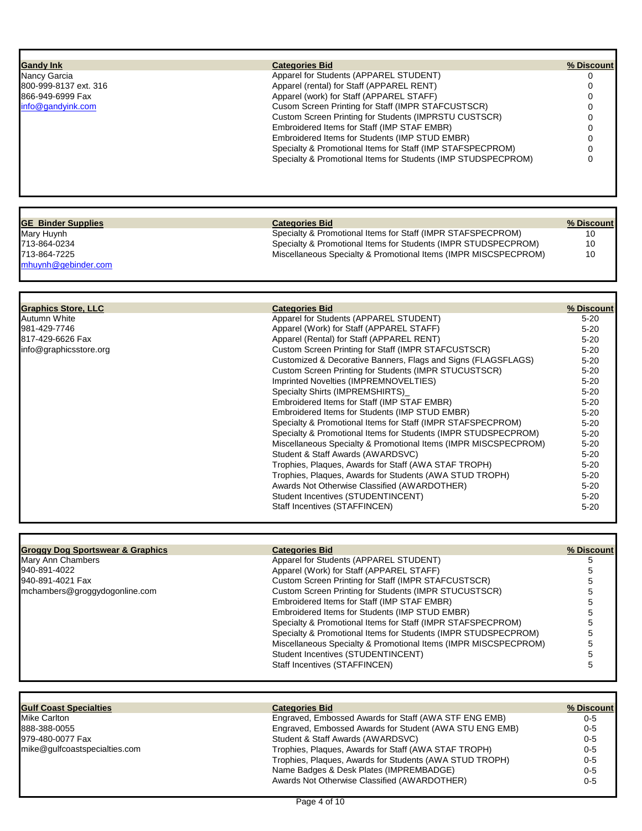| <b>Gandy Ink</b>                            | <b>Categories Bid</b>                                           | % Discount |
|---------------------------------------------|-----------------------------------------------------------------|------------|
| Nancy Garcia                                | Apparel for Students (APPAREL STUDENT)                          | 0          |
| 800-999-8137 ext. 316                       | Apparel (rental) for Staff (APPAREL RENT)                       | 0          |
| 866-949-6999 Fax                            | Apparel (work) for Staff (APPAREL STAFF)                        | 0          |
| info@gandyink.com                           | Cusom Screen Printing for Staff (IMPR STAFCUSTSCR)              |            |
|                                             |                                                                 | 0          |
|                                             | Custom Screen Printing for Students (IMPRSTU CUSTSCR)           | 0          |
|                                             | Embroidered Items for Staff (IMP STAF EMBR)                     | 0          |
|                                             | Embroidered Items for Students (IMP STUD EMBR)                  | 0          |
|                                             | Specialty & Promotional Items for Staff (IMP STAFSPECPROM)      | 0          |
|                                             | Specialty & Promotional Items for Students (IMP STUDSPECPROM)   | $\Omega$   |
|                                             |                                                                 |            |
| <b>GE Binder Supplies</b>                   | <b>Categories Bid</b>                                           | % Discount |
| Mary Huynh                                  | Specialty & Promotional Items for Staff (IMPR STAFSPECPROM)     | 10         |
| 713-864-0234                                | Specialty & Promotional Items for Students (IMPR STUDSPECPROM)  | 10         |
| 713-864-7225                                | Miscellaneous Specialty & Promotional Items (IMPR MISCSPECPROM) | 10         |
| mhuynh@gebinder.com                         |                                                                 |            |
|                                             |                                                                 |            |
| <b>Graphics Store, LLC</b>                  | <b>Categories Bid</b>                                           | % Discount |
| Autumn White                                | Apparel for Students (APPAREL STUDENT)                          | $5 - 20$   |
| 981-429-7746                                | Apparel (Work) for Staff (APPAREL STAFF)                        | $5 - 20$   |
| 817-429-6626 Fax                            |                                                                 |            |
|                                             | Apparel (Rental) for Staff (APPAREL RENT)                       | $5 - 20$   |
| info@graphicsstore.org                      | Custom Screen Printing for Staff (IMPR STAFCUSTSCR)             | $5 - 20$   |
|                                             | Customized & Decorative Banners, Flags and Signs (FLAGSFLAGS)   | $5 - 20$   |
|                                             | Custom Screen Printing for Students (IMPR STUCUSTSCR)           | $5 - 20$   |
|                                             | Imprinted Novelties (IMPREMNOVELTIES)                           | $5 - 20$   |
|                                             | Specialty Shirts (IMPREMSHIRTS)                                 | $5 - 20$   |
|                                             | Embroidered Items for Staff (IMP STAF EMBR)                     | $5 - 20$   |
|                                             | Embroidered Items for Students (IMP STUD EMBR)                  | $5 - 20$   |
|                                             | Specialty & Promotional Items for Staff (IMPR STAFSPECPROM)     | $5 - 20$   |
|                                             | Specialty & Promotional Items for Students (IMPR STUDSPECPROM)  | $5 - 20$   |
|                                             | Miscellaneous Specialty & Promotional Items (IMPR MISCSPECPROM) | $5 - 20$   |
|                                             | Student & Staff Awards (AWARDSVC)                               | $5 - 20$   |
|                                             | Trophies, Plaques, Awards for Staff (AWA STAF TROPH)            | $5 - 20$   |
|                                             | Trophies, Plaques, Awards for Students (AWA STUD TROPH)         | $5 - 20$   |
|                                             | Awards Not Otherwise Classified (AWARDOTHER)                    | $5 - 20$   |
|                                             | Student Incentives (STUDENTINCENT)                              | $5 - 20$   |
|                                             | Staff Incentives (STAFFINCEN)                                   | $5 - 20$   |
|                                             |                                                                 |            |
| <b>Groggy Dog Sportswear &amp; Graphics</b> | <b>Categories Bid</b>                                           | % Discount |
| <b>Mary Ann Chambers</b>                    | Apparel for Students (APPAREL STUDENT)                          | 5          |
| 940-891-4022                                | Apparel (Work) for Staff (APPAREL STAFF)                        | 5          |
| 940-891-4021 Fax                            | Custom Screen Printing for Staff (IMPR STAFCUSTSCR)             | 5          |
| mchambers@groggydogonline.com               | Custom Screen Printing for Students (IMPR STUCUSTSCR)           | 5          |
|                                             | Embroidered Items for Staff (IMP STAF EMBR)                     |            |
|                                             | Embroidered Items for Students (IMP STUD EMBR)                  | 5          |
|                                             | Specialty & Promotional Items for Staff (IMPR STAFSPECPROM)     | 5          |
|                                             | Specialty & Promotional Items for Students (IMPR STUDSPECPROM)  | 5          |
|                                             | Miscellaneous Specialty & Promotional Items (IMPR MISCSPECPROM) | 5          |
|                                             | Student Incentives (STUDENTINCENT)                              | 5          |
|                                             | Staff Incentives (STAFFINCEN)                                   | 5          |
|                                             |                                                                 |            |

| <b>Gulf Coast Specialties</b> | <b>Categories Bid</b>                                   | % Discount |
|-------------------------------|---------------------------------------------------------|------------|
| Mike Carlton                  | Engraved, Embossed Awards for Staff (AWA STF ENG EMB)   | $0 - 5$    |
| 888-388-0055                  | Engraved, Embossed Awards for Student (AWA STU ENG EMB) | $0 - 5$    |
| 979-480-0077 Fax              | Student & Staff Awards (AWARDSVC)                       | $0 - 5$    |
| mike@gulfcoastspecialties.com | Trophies, Plaques, Awards for Staff (AWA STAF TROPH)    | $0 - 5$    |
|                               | Trophies, Plagues, Awards for Students (AWA STUD TROPH) | $0 - 5$    |
|                               | Name Badges & Desk Plates (IMPREMBADGE)                 | $0-5$      |
|                               | Awards Not Otherwise Classified (AWARDOTHER)            | $0 - 5$    |

Г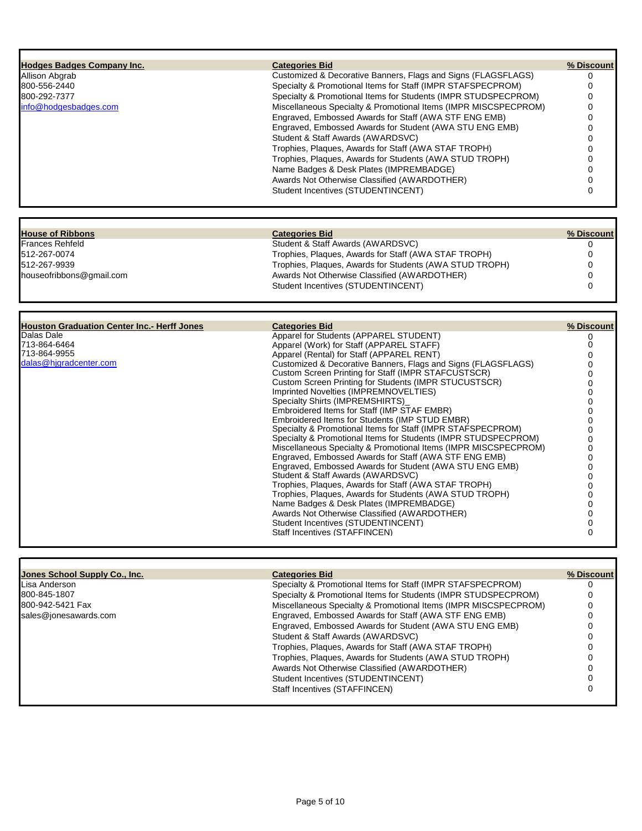| <b>Hodges Badges Company Inc.</b>                  | <b>Categories Bid</b>                                                                                                    | % Discount      |
|----------------------------------------------------|--------------------------------------------------------------------------------------------------------------------------|-----------------|
| Allison Abgrab                                     | Customized & Decorative Banners, Flags and Signs (FLAGSFLAGS)                                                            | 0               |
| 800-556-2440                                       | Specialty & Promotional Items for Staff (IMPR STAFSPECPROM)                                                              | 0               |
| 800-292-7377                                       | Specialty & Promotional Items for Students (IMPR STUDSPECPROM)                                                           | 0               |
| info@hodgesbadges.com                              | Miscellaneous Specialty & Promotional Items (IMPR MISCSPECPROM)                                                          | 0               |
|                                                    | Engraved, Embossed Awards for Staff (AWA STF ENG EMB)                                                                    | 0               |
|                                                    | Engraved, Embossed Awards for Student (AWA STU ENG EMB)                                                                  | O               |
|                                                    | Student & Staff Awards (AWARDSVC)                                                                                        | 0               |
|                                                    | Trophies, Plaques, Awards for Staff (AWA STAF TROPH)                                                                     |                 |
|                                                    | Trophies, Plaques, Awards for Students (AWA STUD TROPH)                                                                  | 0               |
|                                                    |                                                                                                                          |                 |
|                                                    | Name Badges & Desk Plates (IMPREMBADGE)                                                                                  | 0               |
|                                                    | Awards Not Otherwise Classified (AWARDOTHER)<br>Student Incentives (STUDENTINCENT)                                       | 0<br>0          |
|                                                    |                                                                                                                          |                 |
| <b>House of Ribbons</b>                            | <b>Categories Bid</b>                                                                                                    | % Discount      |
| Frances Rehfeld                                    | Student & Staff Awards (AWARDSVC)                                                                                        | 0               |
| 512-267-0074                                       | Trophies, Plaques, Awards for Staff (AWA STAF TROPH)                                                                     | 0               |
| 512-267-9939                                       | Trophies, Plaques, Awards for Students (AWA STUD TROPH)                                                                  | 0               |
| houseofribbons@gmail.com                           | Awards Not Otherwise Classified (AWARDOTHER)                                                                             | 0               |
|                                                    | Student Incentives (STUDENTINCENT)                                                                                       | $\Omega$        |
|                                                    |                                                                                                                          |                 |
| <b>Houston Graduation Center Inc.- Herff Jones</b> | <b>Categories Bid</b>                                                                                                    | % Discount      |
| Dalas Dale                                         | Apparel for Students (APPAREL STUDENT)                                                                                   | 0               |
| 713-864-6464                                       | Apparel (Work) for Staff (APPAREL STAFF)                                                                                 | 0               |
| 713-864-9955<br>dalas@hjgradcenter.com             | Apparel (Rental) for Staff (APPAREL RENT)                                                                                | O               |
|                                                    | Customized & Decorative Banners, Flags and Signs (FLAGSFLAGS)                                                            | 0               |
|                                                    | Custom Screen Printing for Staff (IMPR STAFCUSTSCR)<br><b>Custom Screen Printing for Students (IMPR STUCUSTSCR)</b>      |                 |
|                                                    | Imprinted Novelties (IMPREMNOVELTIES)                                                                                    | 0<br>0          |
|                                                    | Specialty Shirts (IMPREMSHIRTS)                                                                                          | 0               |
|                                                    | Embroidered Items for Staff (IMP STAF EMBR)                                                                              |                 |
|                                                    | Embroidered Items for Students (IMP STUD EMBR)                                                                           | 0               |
|                                                    | Specialty & Promotional Items for Staff (IMPR STAFSPECPROM)                                                              |                 |
|                                                    | Specialty & Promotional Items for Students (IMPR STUDSPECPROM)                                                           | 0               |
|                                                    | Miscellaneous Specialty & Promotional Items (IMPR MISCSPECPROM)                                                          | 0               |
|                                                    | Engraved, Embossed Awards for Staff (AWA STF ENG EMB)                                                                    | 0               |
|                                                    | Engraved, Embossed Awards for Student (AWA STU ENG EMB)                                                                  |                 |
|                                                    | Student & Staff Awards (AWARDSVC)                                                                                        |                 |
|                                                    | Trophies, Plaques, Awards for Staff (AWA STAF TROPH)                                                                     | 0               |
|                                                    | Trophies, Plagues, Awards for Students (AWA STUD TROPH)                                                                  |                 |
|                                                    | Name Badges & Desk Plates (IMPREMBADGE)                                                                                  | $\Omega$        |
|                                                    |                                                                                                                          |                 |
|                                                    | Awards Not Otherwise Classified (AWARDOTHER)                                                                             | 0               |
|                                                    | Student Incentives (STUDENTINCENT)                                                                                       | 0               |
|                                                    | Staff Incentives (STAFFINCEN)                                                                                            | 0               |
|                                                    |                                                                                                                          |                 |
| <b>Jones School Supply Co., Inc.</b>               | <b>Categories Bid</b>                                                                                                    |                 |
| Lisa Anderson                                      | Specialty & Promotional Items for Staff (IMPR STAFSPECPROM)                                                              | % Discount<br>0 |
| 800-845-1807                                       | Specialty & Promotional Items for Students (IMPR STUDSPECPROM)                                                           | 0               |
| 800-942-5421 Fax                                   |                                                                                                                          |                 |
| sales@jonesawards.com                              | Miscellaneous Specialty & Promotional Items (IMPR MISCSPECPROM)<br>Engraved, Embossed Awards for Staff (AWA STF ENG EMB) | 0               |

Student & Staff Awards (AWARDSVC) 0 Trophies, Plaques, Awards for Staff (AWA STAF TROPH) 0 Trophies, Plaques, Awards for Students (AWA STUD TROPH) 0 Awards Not Otherwise Classified (AWARDOTHER) 0 Student Incentives (STUDENTINCENT) 0 Staff Incentives (STAFFINCEN) 0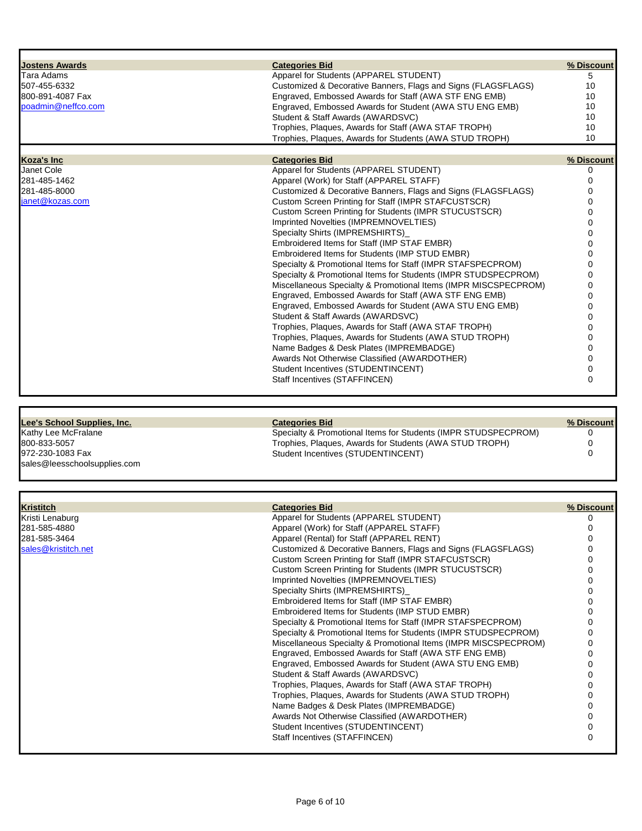| <b>Jostens Awards</b>        | <b>Categories Bid</b>                                                                                           | % Discount    |
|------------------------------|-----------------------------------------------------------------------------------------------------------------|---------------|
| Tara Adams                   | Apparel for Students (APPAREL STUDENT)                                                                          | 5             |
| 507-455-6332                 | Customized & Decorative Banners, Flags and Signs (FLAGSFLAGS)                                                   | 10            |
| 800-891-4087 Fax             | Engraved, Embossed Awards for Staff (AWA STF ENG EMB)                                                           | 10            |
| poadmin@neffco.com           | Engraved, Embossed Awards for Student (AWA STU ENG EMB)                                                         | 10            |
|                              | Student & Staff Awards (AWARDSVC)                                                                               | 10            |
|                              | Trophies, Plaques, Awards for Staff (AWA STAF TROPH)                                                            | 10            |
|                              | Trophies, Plagues, Awards for Students (AWA STUD TROPH)                                                         | 10            |
|                              |                                                                                                                 |               |
| Koza's Inc                   | <b>Categories Bid</b>                                                                                           | % Discount    |
| Janet Cole                   | Apparel for Students (APPAREL STUDENT)                                                                          | 0             |
| 281-485-1462                 | Apparel (Work) for Staff (APPAREL STAFF)                                                                        | 0             |
| 281-485-8000                 | Customized & Decorative Banners, Flags and Signs (FLAGSFLAGS)                                                   | 0             |
| janet@kozas.com              | Custom Screen Printing for Staff (IMPR STAFCUSTSCR)                                                             |               |
|                              | Custom Screen Printing for Students (IMPR STUCUSTSCR)                                                           |               |
|                              | Imprinted Novelties (IMPREMNOVELTIES)                                                                           |               |
|                              | Specialty Shirts (IMPREMSHIRTS)                                                                                 |               |
|                              | Embroidered Items for Staff (IMP STAF EMBR)                                                                     |               |
|                              |                                                                                                                 |               |
|                              | Embroidered Items for Students (IMP STUD EMBR)                                                                  |               |
|                              | Specialty & Promotional Items for Staff (IMPR STAFSPECPROM)                                                     |               |
|                              | Specialty & Promotional Items for Students (IMPR STUDSPECPROM)                                                  |               |
|                              | Miscellaneous Specialty & Promotional Items (IMPR MISCSPECPROM)                                                 | O             |
|                              | Engraved, Embossed Awards for Staff (AWA STF ENG EMB)                                                           |               |
|                              | Engraved, Embossed Awards for Student (AWA STU ENG EMB)                                                         |               |
|                              | Student & Staff Awards (AWARDSVC)                                                                               |               |
|                              | Trophies, Plaques, Awards for Staff (AWA STAF TROPH)                                                            |               |
|                              | Trophies, Plaques, Awards for Students (AWA STUD TROPH)                                                         |               |
|                              | Name Badges & Desk Plates (IMPREMBADGE)                                                                         |               |
|                              | Awards Not Otherwise Classified (AWARDOTHER)                                                                    | 0             |
|                              | Student Incentives (STUDENTINCENT)                                                                              | 0             |
|                              | Staff Incentives (STAFFINCEN)                                                                                   | 0             |
| Lee's School Supplies, Inc.  | <b>Categories Bid</b>                                                                                           | % Discount    |
| Kathy Lee McFralane          | Specialty & Promotional Items for Students (IMPR STUDSPECPROM)                                                  | 0             |
| 800-833-5057                 | Trophies, Plaques, Awards for Students (AWA STUD TROPH)                                                         | 0             |
|                              |                                                                                                                 |               |
|                              |                                                                                                                 |               |
| 972-230-1083 Fax             | Student Incentives (STUDENTINCENT)                                                                              | 0             |
| sales@leesschoolsupplies.com |                                                                                                                 |               |
|                              |                                                                                                                 |               |
| <b>Kristitch</b>             | <b>Categories Bid</b>                                                                                           | % Discount    |
| Kristi Lenaburg              | Apparel for Students (APPAREL STUDENT)                                                                          | 0             |
| 281-585-4880                 | Apparel (Work) for Staff (APPAREL STAFF)                                                                        | 0             |
| 281-585-3464                 | Apparel (Rental) for Staff (APPAREL RENT)                                                                       |               |
|                              |                                                                                                                 |               |
| sales@kristitch.net          | Customized & Decorative Banners, Flags and Signs (FLAGSFLAGS)                                                   |               |
|                              | Custom Screen Printing for Staff (IMPR STAFCUSTSCR)                                                             |               |
|                              | <b>Custom Screen Printing for Students (IMPR STUCUSTSCR)</b>                                                    |               |
|                              | Imprinted Novelties (IMPREMNOVELTIES)                                                                           |               |
|                              | Specialty Shirts (IMPREMSHIRTS)                                                                                 |               |
|                              | Embroidered Items for Staff (IMP STAF EMBR)                                                                     |               |
|                              | Embroidered Items for Students (IMP STUD EMBR)                                                                  |               |
|                              | Specialty & Promotional Items for Staff (IMPR STAFSPECPROM)                                                     | 0             |
|                              | Specialty & Promotional Items for Students (IMPR STUDSPECPROM)                                                  |               |
|                              | Miscellaneous Specialty & Promotional Items (IMPR MISCSPECPROM)                                                 |               |
|                              | Engraved, Embossed Awards for Staff (AWA STF ENG EMB)                                                           | 0             |
|                              | Engraved, Embossed Awards for Student (AWA STU ENG EMB)                                                         |               |
|                              | Student & Staff Awards (AWARDSVC)                                                                               |               |
|                              | Trophies, Plaques, Awards for Staff (AWA STAF TROPH)<br>Trophies, Plaques, Awards for Students (AWA STUD TROPH) | 0<br>$\Omega$ |

Name Badges & Desk Plates (IMPREMBADGE) 0 Awards Not Otherwise Classified (AWARDOTHER) 0 Student Incentives (STUDENTINCENT) 0 Staff Incentives (STAFFINCEN) 0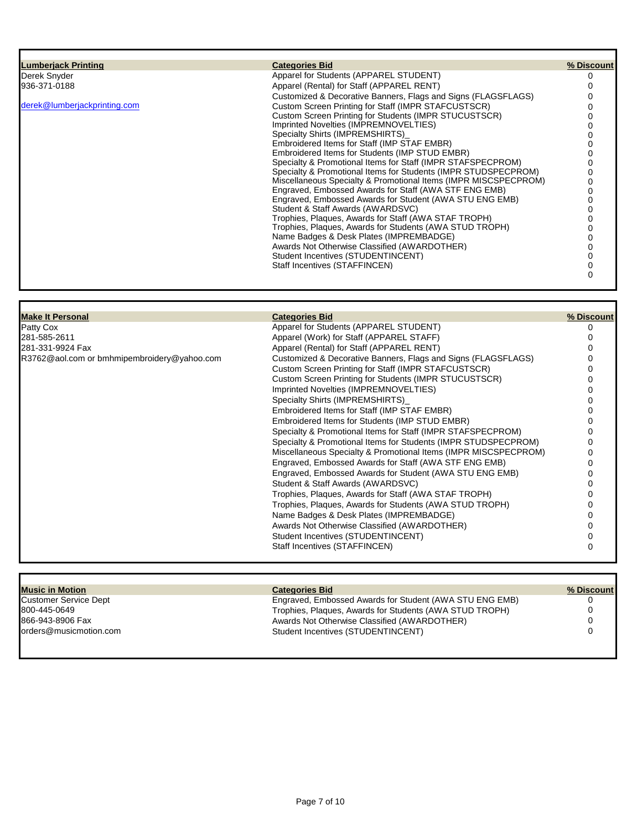| <b>Lumberjack Printing</b>   | <b>Categories Bid</b>                                                                                            | % Discount |
|------------------------------|------------------------------------------------------------------------------------------------------------------|------------|
| Derek Snyder                 | Apparel for Students (APPAREL STUDENT)                                                                           |            |
| 936-371-0188                 | Apparel (Rental) for Staff (APPAREL RENT)                                                                        |            |
|                              | Customized & Decorative Banners, Flags and Signs (FLAGSFLAGS)                                                    |            |
| derek@lumberjackprinting.com | Custom Screen Printing for Staff (IMPR STAFCUSTSCR)                                                              |            |
|                              | Custom Screen Printing for Students (IMPR STUCUSTSCR)                                                            |            |
|                              | Imprinted Novelties (IMPREMNOVELTIES)                                                                            |            |
|                              | Specialty Shirts (IMPREMSHIRTS)                                                                                  |            |
|                              | Embroidered Items for Staff (IMP STAF EMBR)                                                                      |            |
|                              | Embroidered Items for Students (IMP STUD EMBR)                                                                   |            |
|                              | Specialty & Promotional Items for Staff (IMPR STAFSPECPROM)                                                      |            |
|                              | Specialty & Promotional Items for Students (IMPR STUDSPECPROM)                                                   |            |
|                              | Miscellaneous Specialty & Promotional Items (IMPR MISCSPECPROM)                                                  |            |
|                              | Engraved, Embossed Awards for Staff (AWA STF ENG EMB)<br>Engraved, Embossed Awards for Student (AWA STU ENG EMB) |            |
|                              | Student & Staff Awards (AWARDSVC)                                                                                |            |
|                              | Trophies, Plagues, Awards for Staff (AWA STAF TROPH)                                                             |            |
|                              | Trophies, Plagues, Awards for Students (AWA STUD TROPH)                                                          |            |
|                              | Name Badges & Desk Plates (IMPREMBADGE)                                                                          |            |
|                              | Awards Not Otherwise Classified (AWARDOTHER)                                                                     |            |
|                              | Student Incentives (STUDENTINCENT)                                                                               |            |
|                              | Staff Incentives (STAFFINCEN)                                                                                    |            |
|                              |                                                                                                                  |            |

| <b>Make It Personal</b>                     | <b>Categories Bid</b>                                           | % Discount |
|---------------------------------------------|-----------------------------------------------------------------|------------|
| Patty Cox                                   | Apparel for Students (APPAREL STUDENT)                          |            |
| 281-585-2611                                | Apparel (Work) for Staff (APPAREL STAFF)                        |            |
| 281-331-9924 Fax                            | Apparel (Rental) for Staff (APPAREL RENT)                       |            |
| R3762@aol.com or bmhmipembroidery@yahoo.com | Customized & Decorative Banners, Flags and Signs (FLAGSFLAGS)   |            |
|                                             | Custom Screen Printing for Staff (IMPR STAFCUSTSCR)             |            |
|                                             | Custom Screen Printing for Students (IMPR STUCUSTSCR)           |            |
|                                             | Imprinted Novelties (IMPREMNOVELTIES)                           |            |
|                                             | Specialty Shirts (IMPREMSHIRTS)                                 |            |
|                                             | Embroidered Items for Staff (IMP STAF EMBR)                     |            |
|                                             | Embroidered Items for Students (IMP STUD EMBR)                  |            |
|                                             | Specialty & Promotional Items for Staff (IMPR STAFSPECPROM)     |            |
|                                             | Specialty & Promotional Items for Students (IMPR STUDSPECPROM)  |            |
|                                             | Miscellaneous Specialty & Promotional Items (IMPR MISCSPECPROM) |            |
|                                             | Engraved, Embossed Awards for Staff (AWA STF ENG EMB)           |            |
|                                             | Engraved, Embossed Awards for Student (AWA STU ENG EMB)         |            |
|                                             | Student & Staff Awards (AWARDSVC)                               |            |
|                                             | Trophies, Plaques, Awards for Staff (AWA STAF TROPH)            |            |
|                                             | Trophies, Plaques, Awards for Students (AWA STUD TROPH)         |            |
|                                             | Name Badges & Desk Plates (IMPREMBADGE)                         |            |
|                                             | Awards Not Otherwise Classified (AWARDOTHER)                    |            |
|                                             | Student Incentives (STUDENTINCENT)                              |            |
|                                             | Staff Incentives (STAFFINCEN)                                   |            |
|                                             |                                                                 |            |

| <b>Music in Motion</b> | <b>Categories Bid</b>                                   | % Discount |
|------------------------|---------------------------------------------------------|------------|
| Customer Service Dept  | Engraved, Embossed Awards for Student (AWA STU ENG EMB) |            |
| 800-445-0649           | Trophies, Plagues, Awards for Students (AWA STUD TROPH) |            |
| 866-943-8906 Fax       | Awards Not Otherwise Classified (AWARDOTHER)            |            |
| orders@musicmotion.com | Student Incentives (STUDENTINCENT)                      |            |
|                        |                                                         |            |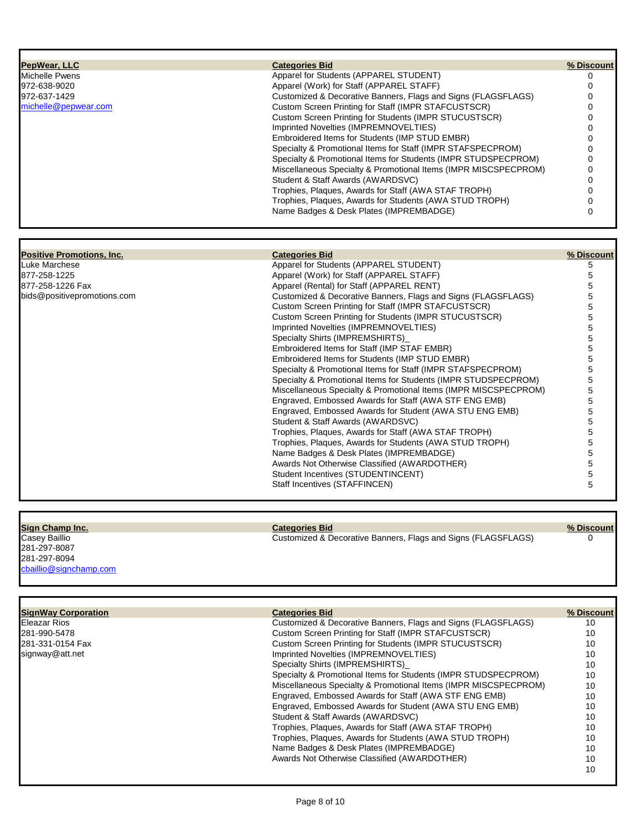| PepWear, LLC                     | <b>Categories Bid</b>                                           | % Discount |
|----------------------------------|-----------------------------------------------------------------|------------|
| <b>Michelle Pwens</b>            | Apparel for Students (APPAREL STUDENT)                          | 0          |
| 972-638-9020                     | Apparel (Work) for Staff (APPAREL STAFF)                        | 0          |
| 972-637-1429                     | Customized & Decorative Banners, Flags and Signs (FLAGSFLAGS)   | $\Omega$   |
| michelle@pepwear.com             | Custom Screen Printing for Staff (IMPR STAFCUSTSCR)             | $\Omega$   |
|                                  | Custom Screen Printing for Students (IMPR STUCUSTSCR)           | 0          |
|                                  | Imprinted Novelties (IMPREMNOVELTIES)                           | $\Omega$   |
|                                  | Embroidered Items for Students (IMP STUD EMBR)                  | $\Omega$   |
|                                  | Specialty & Promotional Items for Staff (IMPR STAFSPECPROM)     |            |
|                                  |                                                                 | 0          |
|                                  | Specialty & Promotional Items for Students (IMPR STUDSPECPROM)  | $\Omega$   |
|                                  | Miscellaneous Specialty & Promotional Items (IMPR MISCSPECPROM) | $\Omega$   |
|                                  | Student & Staff Awards (AWARDSVC)                               | 0          |
|                                  | Trophies, Plaques, Awards for Staff (AWA STAF TROPH)            | $\Omega$   |
|                                  | Trophies, Plaques, Awards for Students (AWA STUD TROPH)         | 0          |
|                                  | Name Badges & Desk Plates (IMPREMBADGE)                         | $\Omega$   |
|                                  |                                                                 |            |
| <b>Positive Promotions, Inc.</b> | <b>Categories Bid</b>                                           | % Discount |
| Luke Marchese                    | Apparel for Students (APPAREL STUDENT)                          | 5          |
| 877-258-1225                     | Apparel (Work) for Staff (APPAREL STAFF)                        | 5          |
| 877-258-1226 Fax                 | Apparel (Rental) for Staff (APPAREL RENT)                       | 5          |
| bids@positivepromotions.com      | Customized & Decorative Banners, Flags and Signs (FLAGSFLAGS)   | 5          |
|                                  | Custom Screen Printing for Staff (IMPR STAFCUSTSCR)             | 5          |
|                                  | Custom Screen Printing for Students (IMPR STUCUSTSCR)           | 5          |
|                                  | Imprinted Novelties (IMPREMNOVELTIES)                           | 5          |
|                                  | Specialty Shirts (IMPREMSHIRTS)                                 | 5          |
|                                  | Embroidered Items for Staff (IMP STAF EMBR)                     | 5          |
|                                  | Embroidered Items for Students (IMP STUD EMBR)                  | 5          |
|                                  | Specialty & Promotional Items for Staff (IMPR STAFSPECPROM)     | 5          |
|                                  | Specialty & Promotional Items for Students (IMPR STUDSPECPROM)  | 5          |
|                                  | Miscellaneous Specialty & Promotional Items (IMPR MISCSPECPROM) | 5          |
|                                  | Engraved, Embossed Awards for Staff (AWA STF ENG EMB)           | 5          |
|                                  |                                                                 |            |
|                                  | Engraved, Embossed Awards for Student (AWA STU ENG EMB)         | 5          |
|                                  | Student & Staff Awards (AWARDSVC)                               | 5          |
|                                  | Trophies, Plaques, Awards for Staff (AWA STAF TROPH)            | 5          |
|                                  | Trophies, Plaques, Awards for Students (AWA STUD TROPH)         | 5          |
|                                  | Name Badges & Desk Plates (IMPREMBADGE)                         | 5          |
|                                  | Awards Not Otherwise Classified (AWARDOTHER)                    | 5          |
|                                  | Student Incentives (STUDENTINCENT)                              | 5          |
|                                  | Staff Incentives (STAFFINCEN)                                   | 5          |
|                                  |                                                                 |            |
| Sign Champ Inc.                  | <b>Categories Bid</b>                                           | % Discount |
| Casey Baillio                    | Customized & Decorative Banners, Flags and Signs (FLAGSFLAGS)   | $\Omega$   |
| 281-297-8087                     |                                                                 |            |
| 281-297-8094                     |                                                                 |            |
| cbaillio@signchamp.com           |                                                                 |            |
|                                  |                                                                 |            |
| <b>SignWay Corporation</b>       | <b>Categories Bid</b>                                           | % Discount |
| <b>Eleazar Rios</b>              | Customized & Decorative Banners, Flags and Signs (FLAGSFLAGS)   | 10         |
| 281-990-5478                     | Custom Screen Printing for Staff (IMPR STAFCUSTSCR)             | 10         |
|                                  |                                                                 |            |

| IEleazar Rios     |  |
|-------------------|--|
| 281-990-5478      |  |
| l281-331-0154 Fax |  |
| signway@att.net   |  |

| Customized & Decorative Banners, Flags and Signs (FLAGSFLAGS)<br>Eleazar Rios | 10 |
|-------------------------------------------------------------------------------|----|
|                                                                               |    |
| Custom Screen Printing for Staff (IMPR STAFCUSTSCR)<br>281-990-5478           | 10 |
| Custom Screen Printing for Students (IMPR STUCUSTSCR)<br>281-331-0154 Fax     | 10 |
| Imprinted Novelties (IMPREMNOVELTIES)<br>signway@att.net                      | 10 |
| Specialty Shirts (IMPREMSHIRTS)                                               | 10 |
| Specialty & Promotional Items for Students (IMPR STUDSPECPROM)                | 10 |
| Miscellaneous Specialty & Promotional Items (IMPR MISCSPECPROM)               | 10 |
| Engraved, Embossed Awards for Staff (AWA STF ENG EMB)                         | 10 |
| Engraved, Embossed Awards for Student (AWA STU ENG EMB)                       | 10 |
| Student & Staff Awards (AWARDSVC)                                             | 10 |
| Trophies, Plaques, Awards for Staff (AWA STAF TROPH)                          | 10 |
| Trophies, Plagues, Awards for Students (AWA STUD TROPH)                       | 10 |
| Name Badges & Desk Plates (IMPREMBADGE)                                       | 10 |
| Awards Not Otherwise Classified (AWARDOTHER)                                  | 10 |
|                                                                               | 10 |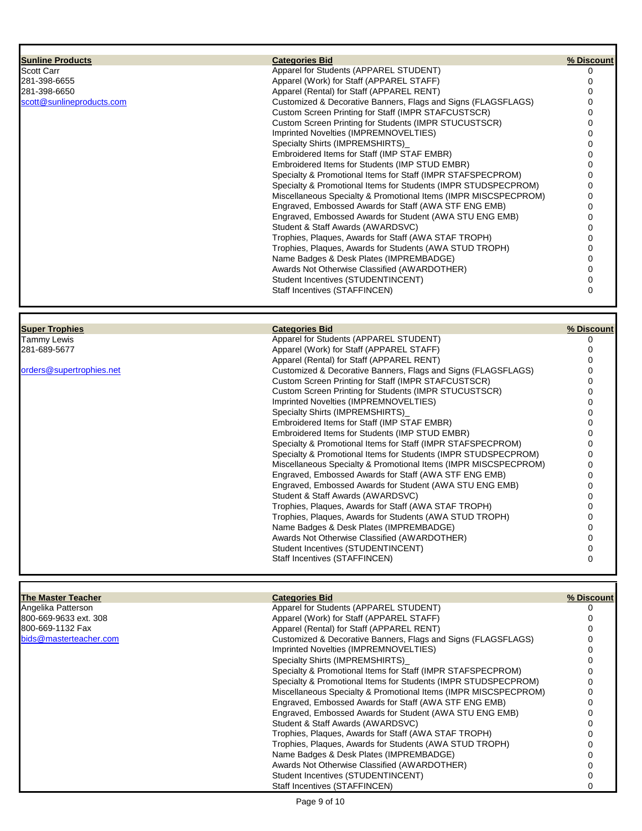| <b>Sunline Products</b>   | <b>Categories Bid</b>                                           | % Discount |
|---------------------------|-----------------------------------------------------------------|------------|
| <b>Scott Carr</b>         | Apparel for Students (APPAREL STUDENT)                          |            |
| 281-398-6655              | Apparel (Work) for Staff (APPAREL STAFF)                        |            |
| 281-398-6650              | Apparel (Rental) for Staff (APPAREL RENT)                       |            |
| scott@sunlineproducts.com | Customized & Decorative Banners, Flags and Signs (FLAGSFLAGS)   |            |
|                           | Custom Screen Printing for Staff (IMPR STAFCUSTSCR)             |            |
|                           | Custom Screen Printing for Students (IMPR STUCUSTSCR)           |            |
|                           | Imprinted Novelties (IMPREMNOVELTIES)                           |            |
|                           | Specialty Shirts (IMPREMSHIRTS)                                 |            |
|                           | Embroidered Items for Staff (IMP STAF EMBR)                     |            |
|                           | Embroidered Items for Students (IMP STUD EMBR)                  |            |
|                           | Specialty & Promotional Items for Staff (IMPR STAFSPECPROM)     |            |
|                           | Specialty & Promotional Items for Students (IMPR STUDSPECPROM)  |            |
|                           | Miscellaneous Specialty & Promotional Items (IMPR MISCSPECPROM) |            |
|                           | Engraved, Embossed Awards for Staff (AWA STF ENG EMB)           |            |
|                           | Engraved, Embossed Awards for Student (AWA STU ENG EMB)         |            |
|                           | Student & Staff Awards (AWARDSVC)                               |            |
|                           | Trophies, Plaques, Awards for Staff (AWA STAF TROPH)            |            |
|                           | Trophies, Plaques, Awards for Students (AWA STUD TROPH)         |            |
|                           | Name Badges & Desk Plates (IMPREMBADGE)                         |            |
|                           | Awards Not Otherwise Classified (AWARDOTHER)                    |            |
|                           | Student Incentives (STUDENTINCENT)                              |            |
|                           | Staff Incentives (STAFFINCEN)                                   |            |

| <b>Super Trophies</b>    | <b>Categories Bid</b>                                           | % Discount |
|--------------------------|-----------------------------------------------------------------|------------|
| Tammy Lewis              | Apparel for Students (APPAREL STUDENT)                          |            |
| 281-689-5677             | Apparel (Work) for Staff (APPAREL STAFF)                        |            |
|                          | Apparel (Rental) for Staff (APPAREL RENT)                       |            |
| orders@supertrophies.net | Customized & Decorative Banners, Flags and Signs (FLAGSFLAGS)   |            |
|                          | Custom Screen Printing for Staff (IMPR STAFCUSTSCR)             |            |
|                          | Custom Screen Printing for Students (IMPR STUCUSTSCR)           |            |
|                          | Imprinted Novelties (IMPREMNOVELTIES)                           |            |
|                          | Specialty Shirts (IMPREMSHIRTS)                                 |            |
|                          | Embroidered Items for Staff (IMP STAF EMBR)                     |            |
|                          | Embroidered Items for Students (IMP STUD EMBR)                  |            |
|                          | Specialty & Promotional Items for Staff (IMPR STAFSPECPROM)     |            |
|                          | Specialty & Promotional Items for Students (IMPR STUDSPECPROM)  |            |
|                          | Miscellaneous Specialty & Promotional Items (IMPR MISCSPECPROM) |            |
|                          | Engraved, Embossed Awards for Staff (AWA STF ENG EMB)           |            |
|                          | Engraved, Embossed Awards for Student (AWA STU ENG EMB)         |            |
|                          | Student & Staff Awards (AWARDSVC)                               |            |
|                          | Trophies, Plaques, Awards for Staff (AWA STAF TROPH)            |            |
|                          | Trophies, Plaques, Awards for Students (AWA STUD TROPH)         |            |
|                          | Name Badges & Desk Plates (IMPREMBADGE)                         |            |
|                          | Awards Not Otherwise Classified (AWARDOTHER)                    |            |
|                          | Student Incentives (STUDENTINCENT)                              |            |
|                          | Staff Incentives (STAFFINCEN)                                   |            |
|                          |                                                                 |            |

| The Master Teacher     | <b>Categories Bid</b>                                           | % Discount |
|------------------------|-----------------------------------------------------------------|------------|
| Angelika Patterson     | Apparel for Students (APPAREL STUDENT)                          |            |
| 800-669-9633 ext. 308  | Apparel (Work) for Staff (APPAREL STAFF)                        |            |
| 800-669-1132 Fax       | Apparel (Rental) for Staff (APPAREL RENT)                       |            |
| bids@masterteacher.com | Customized & Decorative Banners, Flags and Signs (FLAGSFLAGS)   |            |
|                        | Imprinted Novelties (IMPREMNOVELTIES)                           |            |
|                        | Specialty Shirts (IMPREMSHIRTS)                                 |            |
|                        | Specialty & Promotional Items for Staff (IMPR STAFSPECPROM)     |            |
|                        | Specialty & Promotional Items for Students (IMPR STUDSPECPROM)  |            |
|                        | Miscellaneous Specialty & Promotional Items (IMPR MISCSPECPROM) |            |
|                        | Engraved, Embossed Awards for Staff (AWA STF ENG EMB)           |            |
|                        | Engraved, Embossed Awards for Student (AWA STU ENG EMB)         |            |
|                        | Student & Staff Awards (AWARDSVC)                               |            |
|                        | Trophies, Plaques, Awards for Staff (AWA STAF TROPH)            |            |
|                        | Trophies, Plaques, Awards for Students (AWA STUD TROPH)         |            |
|                        | Name Badges & Desk Plates (IMPREMBADGE)                         |            |
|                        | Awards Not Otherwise Classified (AWARDOTHER)                    |            |
|                        | Student Incentives (STUDENTINCENT)                              |            |
|                        | Staff Incentives (STAFFINCEN)                                   |            |

Page 9 of 10